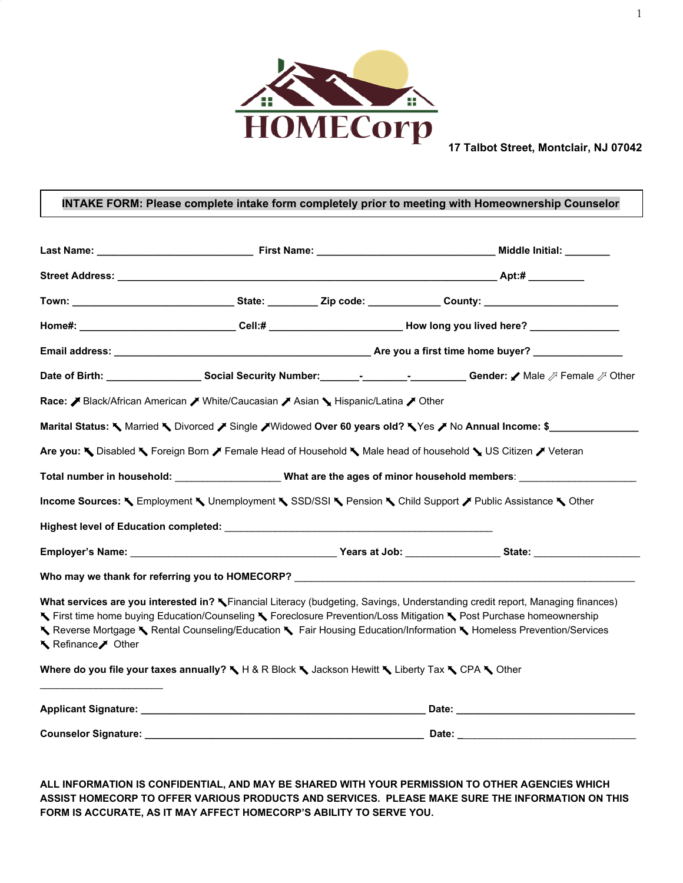

#### **INTAKE FORM: Please complete intake form completely prior to meeting with Homeownership Counselor**

|                   |                                                                                                   | Town: ______________________________State: _________Zip code: ____________ County: ______________________                                                                                                                                                                                                                                                                    |
|-------------------|---------------------------------------------------------------------------------------------------|------------------------------------------------------------------------------------------------------------------------------------------------------------------------------------------------------------------------------------------------------------------------------------------------------------------------------------------------------------------------------|
|                   |                                                                                                   | Home#: _______________________________Cell:# _____________________________How long you lived here? _________________                                                                                                                                                                                                                                                         |
|                   |                                                                                                   |                                                                                                                                                                                                                                                                                                                                                                              |
|                   |                                                                                                   | Date of Birth: ________________________Social Security Number: ___________________________________Gender: / Male 对 Female 对 Other                                                                                                                                                                                                                                            |
|                   | Race: Black/African American / White/Caucasian / Asian \ Hispanic/Latina / Other                  |                                                                                                                                                                                                                                                                                                                                                                              |
|                   |                                                                                                   | Marital Status: ♦ Married ♦ Divorced / Single / Widowed Over 60 years old? ♦ Yes / No Annual Income: \$                                                                                                                                                                                                                                                                      |
|                   |                                                                                                   | Are you: Noisabled No Foreign Born / Female Head of Household No Male head of household No US Citizen / Veteran                                                                                                                                                                                                                                                              |
|                   |                                                                                                   | Total number in household: _______________________What are the ages of minor household members: ______________                                                                                                                                                                                                                                                               |
|                   |                                                                                                   | Income Sources: K Employment K Unemployment K SSD/SSI K Pension K Child Support / Public Assistance K Other                                                                                                                                                                                                                                                                  |
|                   |                                                                                                   |                                                                                                                                                                                                                                                                                                                                                                              |
|                   |                                                                                                   |                                                                                                                                                                                                                                                                                                                                                                              |
|                   | Who may we thank for referring you to HOMECORP? _________________________________                 |                                                                                                                                                                                                                                                                                                                                                                              |
| Refinance / Other |                                                                                                   | What services are you interested in? Tinancial Literacy (budgeting, Savings, Understanding credit report, Managing finances)<br>K First time home buying Education/Counseling K Foreclosure Prevention/Loss Mitigation K Post Purchase homeownership<br>K Reverse Mortgage K Rental Counseling/Education K Fair Housing Education/Information K Homeless Prevention/Services |
|                   | Where do you file your taxes annually? ₹ H & R Block ₹ Jackson Hewitt ₹ Liberty Tax ₹ CPA ₹ Other |                                                                                                                                                                                                                                                                                                                                                                              |
|                   |                                                                                                   |                                                                                                                                                                                                                                                                                                                                                                              |
|                   |                                                                                                   |                                                                                                                                                                                                                                                                                                                                                                              |

**ALL INFORMATION IS CONFIDENTIAL, AND MAY BE SHARED WITH YOUR PERMISSION TO OTHER AGENCIES WHICH ASSIST HOMECORP TO OFFER VARIOUS PRODUCTS AND SERVICES. PLEASE MAKE SURE THE INFORMATION ON THIS FORM IS ACCURATE, AS IT MAY AFFECT HOMECORP'S ABILITY TO SERVE YOU.**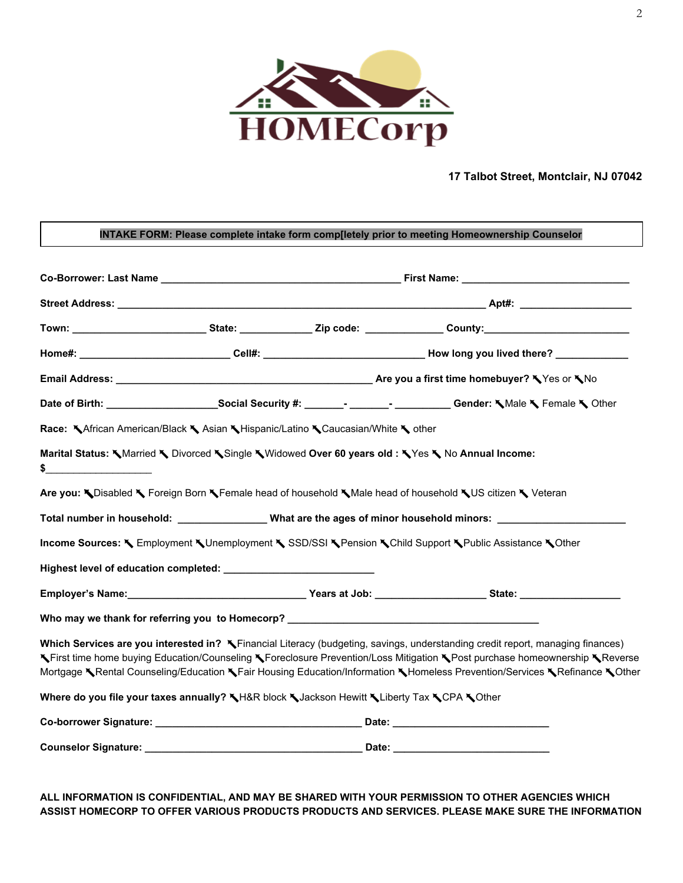

Г

#### **17 Talbot Street, Montclair, NJ 07042**

|               |                                                                                            |  | Town: _________________________State: _____________Zip code: _______________County:_________________                                                                                                                                                                                                                                                                                       |  |
|---------------|--------------------------------------------------------------------------------------------|--|--------------------------------------------------------------------------------------------------------------------------------------------------------------------------------------------------------------------------------------------------------------------------------------------------------------------------------------------------------------------------------------------|--|
|               |                                                                                            |  | Home#: _______________________________Cell#: __________________________________How long you lived there? ___________                                                                                                                                                                                                                                                                       |  |
|               |                                                                                            |  |                                                                                                                                                                                                                                                                                                                                                                                            |  |
|               |                                                                                            |  |                                                                                                                                                                                                                                                                                                                                                                                            |  |
|               | Race: KAfrican American/Black K Asian K Hispanic/Latino K Caucasian/White K other          |  |                                                                                                                                                                                                                                                                                                                                                                                            |  |
|               |                                                                                            |  | Marital Status: Warried V Divorced V Single Widowed Over 60 years old: Ves V No Annual Income:                                                                                                                                                                                                                                                                                             |  |
| $\frac{1}{2}$ |                                                                                            |  |                                                                                                                                                                                                                                                                                                                                                                                            |  |
|               |                                                                                            |  | Are you: NDisabled N Foreign Born NFemale head of household NMale head of household NUS citizen N Veteran                                                                                                                                                                                                                                                                                  |  |
|               |                                                                                            |  | Total number in household: __________________What are the ages of minor household minors: ____________________                                                                                                                                                                                                                                                                             |  |
|               |                                                                                            |  | Income Sources: < Employment < Unemployment < SSD/SSI < Pension < Child Support < Public Assistance < Other                                                                                                                                                                                                                                                                                |  |
|               |                                                                                            |  |                                                                                                                                                                                                                                                                                                                                                                                            |  |
|               |                                                                                            |  | Employer's Name:___________________________________Years at Job: _________________State: _____________________                                                                                                                                                                                                                                                                             |  |
|               |                                                                                            |  | Who may we thank for referring you to Homecorp? _________________________________                                                                                                                                                                                                                                                                                                          |  |
|               |                                                                                            |  | Which Services are you interested in? X Financial Literacy (budgeting, savings, understanding credit report, managing finances)<br>KFirst time home buying Education/Counseling KForeclosure Prevention/Loss Mitigation KPost purchase homeownership KReverse<br>Mortgage KRental Counseling/Education KFair Housing Education/Information KHomeless Prevention/Services KRefinance KOther |  |
|               | Where do you file your taxes annually? \H&R block \Jackson Hewitt \Liberty Tax \CPA \Other |  |                                                                                                                                                                                                                                                                                                                                                                                            |  |
|               |                                                                                            |  |                                                                                                                                                                                                                                                                                                                                                                                            |  |

#### **ALL INFORMATION IS CONFIDENTIAL, AND MAY BE SHARED WITH YOUR PERMISSION TO OTHER AGENCIES WHICH ASSIST HOMECORP TO OFFER VARIOUS PRODUCTS PRODUCTS AND SERVICES. PLEASE MAKE SURE THE INFORMATION**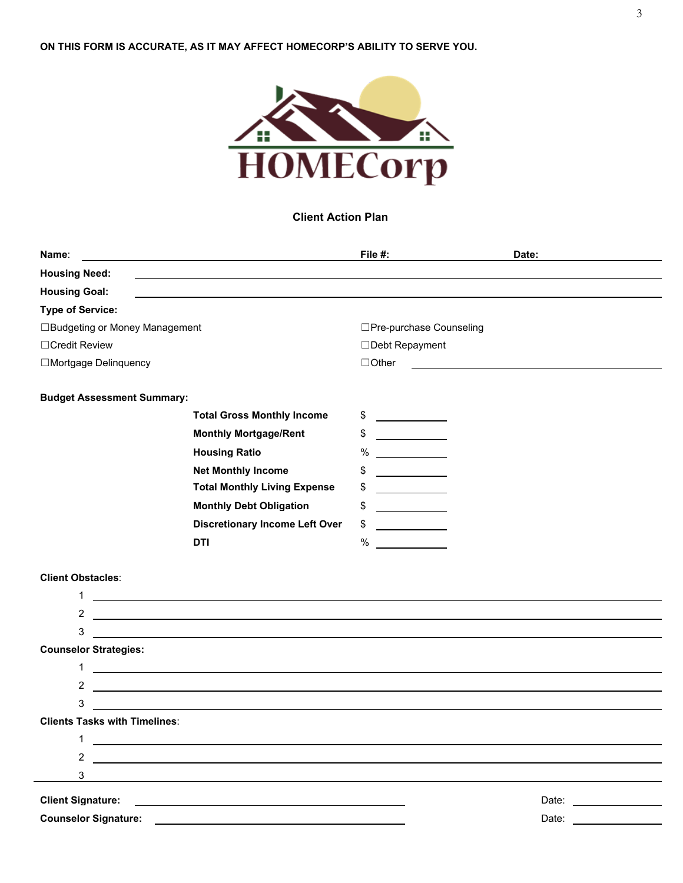

### **Client Action Plan**

| Name:                                | <u> 1980 - Johann Stoff, deutscher Stoffen und der Stoffen und der Stoffen und der Stoffen und der Stoffen und der</u> | File #:                                                                                                                                                                                                                                                                                                                                                                                                                     | Date:                                                                                                                                                                                                                          |
|--------------------------------------|------------------------------------------------------------------------------------------------------------------------|-----------------------------------------------------------------------------------------------------------------------------------------------------------------------------------------------------------------------------------------------------------------------------------------------------------------------------------------------------------------------------------------------------------------------------|--------------------------------------------------------------------------------------------------------------------------------------------------------------------------------------------------------------------------------|
| <b>Housing Need:</b>                 |                                                                                                                        |                                                                                                                                                                                                                                                                                                                                                                                                                             |                                                                                                                                                                                                                                |
| <b>Housing Goal:</b>                 |                                                                                                                        |                                                                                                                                                                                                                                                                                                                                                                                                                             |                                                                                                                                                                                                                                |
| <b>Type of Service:</b>              |                                                                                                                        |                                                                                                                                                                                                                                                                                                                                                                                                                             |                                                                                                                                                                                                                                |
| □Budgeting or Money Management       |                                                                                                                        | □Pre-purchase Counseling                                                                                                                                                                                                                                                                                                                                                                                                    |                                                                                                                                                                                                                                |
| □Credit Review                       |                                                                                                                        | □Debt Repayment                                                                                                                                                                                                                                                                                                                                                                                                             |                                                                                                                                                                                                                                |
| □Mortgage Delinquency                |                                                                                                                        | $\Box$ Other                                                                                                                                                                                                                                                                                                                                                                                                                | <u> 1989 - Johann Barbara, martin amerikan basar dan berasal dan berasal dalam basar dalam basar dalam basar dala</u>                                                                                                          |
|                                      |                                                                                                                        |                                                                                                                                                                                                                                                                                                                                                                                                                             |                                                                                                                                                                                                                                |
| <b>Budget Assessment Summary:</b>    |                                                                                                                        |                                                                                                                                                                                                                                                                                                                                                                                                                             |                                                                                                                                                                                                                                |
|                                      | <b>Total Gross Monthly Income</b>                                                                                      | \$<br>$\frac{1}{1-\frac{1}{1-\frac{1}{1-\frac{1}{1-\frac{1}{1-\frac{1}{1-\frac{1}{1-\frac{1}{1-\frac{1}{1-\frac{1}{1-\frac{1}{1-\frac{1}{1-\frac{1}{1-\frac{1}{1-\frac{1}{1-\frac{1}{1-\frac{1}{1-\frac{1}{1-\frac{1}{1-\frac{1}{1-\frac{1}{1-\frac{1}{1-\frac{1}{1-\frac{1}{1-\frac{1}{1-\frac{1}{1-\frac{1}{1-\frac{1}{1-\frac{1}{1-\frac{1}{1-\frac{1}{1-\frac{1}{1-\frac{1}{1-\frac{1}{1-\frac{1}{1-\frac{1}{1-\frac{1$ |                                                                                                                                                                                                                                |
|                                      | <b>Monthly Mortgage/Rent</b>                                                                                           | \$<br><u> 1970 - Jan Sarajević, politik po</u>                                                                                                                                                                                                                                                                                                                                                                              |                                                                                                                                                                                                                                |
|                                      | <b>Housing Ratio</b>                                                                                                   | %                                                                                                                                                                                                                                                                                                                                                                                                                           |                                                                                                                                                                                                                                |
|                                      | <b>Net Monthly Income</b>                                                                                              | \$<br><u> 1989 - Jan Barnett, fransk politiker</u>                                                                                                                                                                                                                                                                                                                                                                          |                                                                                                                                                                                                                                |
|                                      | <b>Total Monthly Living Expense</b>                                                                                    | \$<br><u> a shekara ta 1999 a shekara ta 1991 a shekara t</u>                                                                                                                                                                                                                                                                                                                                                               |                                                                                                                                                                                                                                |
|                                      | <b>Monthly Debt Obligation</b>                                                                                         | \$<br>$\overline{\phantom{a}}$ and $\overline{\phantom{a}}$ and $\overline{\phantom{a}}$                                                                                                                                                                                                                                                                                                                                    |                                                                                                                                                                                                                                |
|                                      | <b>Discretionary Income Left Over</b>                                                                                  | \$<br><u> 1989 - Jan Barnett, politik e</u>                                                                                                                                                                                                                                                                                                                                                                                 |                                                                                                                                                                                                                                |
|                                      | DTI                                                                                                                    | $\%$                                                                                                                                                                                                                                                                                                                                                                                                                        |                                                                                                                                                                                                                                |
|                                      |                                                                                                                        |                                                                                                                                                                                                                                                                                                                                                                                                                             |                                                                                                                                                                                                                                |
| <b>Client Obstacles:</b>             |                                                                                                                        |                                                                                                                                                                                                                                                                                                                                                                                                                             |                                                                                                                                                                                                                                |
| 1                                    |                                                                                                                        |                                                                                                                                                                                                                                                                                                                                                                                                                             |                                                                                                                                                                                                                                |
| 2                                    | <u> 1989 - Johann Stoff, deutscher Stoffen und der Stoffen und der Stoffen und der Stoffen und der Stoffen und der</u> |                                                                                                                                                                                                                                                                                                                                                                                                                             |                                                                                                                                                                                                                                |
| 3                                    |                                                                                                                        |                                                                                                                                                                                                                                                                                                                                                                                                                             |                                                                                                                                                                                                                                |
| <b>Counselor Strategies:</b>         |                                                                                                                        |                                                                                                                                                                                                                                                                                                                                                                                                                             |                                                                                                                                                                                                                                |
| $\mathbf{1}$                         | <u> 1980 - Johann Stoff, deutscher Stoffen und der Stoffen und der Stoffen und der Stoffen und der Stoffen und d</u>   |                                                                                                                                                                                                                                                                                                                                                                                                                             |                                                                                                                                                                                                                                |
| $\mathbf{2}^{\prime}$                | <u> 1989 - Johann Harry Harry Harry Harry Harry Harry Harry Harry Harry Harry Harry Harry Harry Harry Harry Harry</u>  |                                                                                                                                                                                                                                                                                                                                                                                                                             |                                                                                                                                                                                                                                |
| 3                                    | <u> 1980 - Jan Samuel Barbara, martin da shekara 1980 - An tsara 1980 - An tsara 1980 - An tsara 1980 - An tsara</u>   |                                                                                                                                                                                                                                                                                                                                                                                                                             |                                                                                                                                                                                                                                |
| <b>Clients Tasks with Timelines:</b> |                                                                                                                        |                                                                                                                                                                                                                                                                                                                                                                                                                             |                                                                                                                                                                                                                                |
| 1                                    |                                                                                                                        |                                                                                                                                                                                                                                                                                                                                                                                                                             |                                                                                                                                                                                                                                |
| 2                                    |                                                                                                                        |                                                                                                                                                                                                                                                                                                                                                                                                                             |                                                                                                                                                                                                                                |
| 3                                    |                                                                                                                        |                                                                                                                                                                                                                                                                                                                                                                                                                             |                                                                                                                                                                                                                                |
| <b>Client Signature:</b>             |                                                                                                                        |                                                                                                                                                                                                                                                                                                                                                                                                                             | Date: the contract of the contract of the contract of the contract of the contract of the contract of the contract of the contract of the contract of the contract of the contract of the contract of the contract of the cont |
| <b>Counselor Signature:</b>          |                                                                                                                        |                                                                                                                                                                                                                                                                                                                                                                                                                             | Date:                                                                                                                                                                                                                          |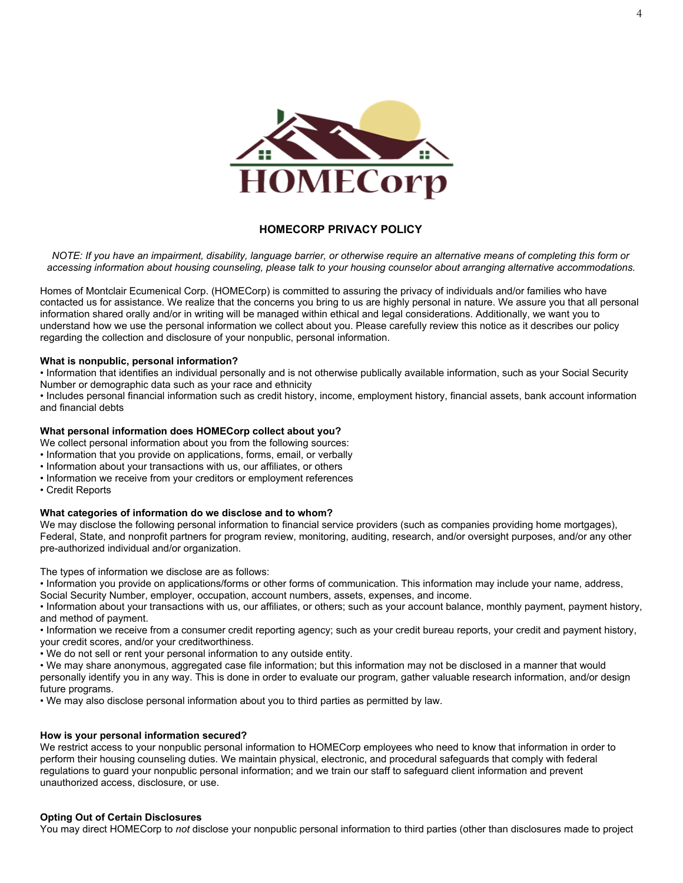

#### **HOMECORP PRIVACY POLICY**

*NOTE: If you have an impairment, disability, language barrier, or otherwise require an alternative means of completing this form or accessing information about housing counseling, please talk to your housing counselor about arranging alternative accommodations.*

Homes of Montclair Ecumenical Corp. (HOMECorp) is committed to assuring the privacy of individuals and/or families who have contacted us for assistance. We realize that the concerns you bring to us are highly personal in nature. We assure you that all personal information shared orally and/or in writing will be managed within ethical and legal considerations. Additionally, we want you to understand how we use the personal information we collect about you. Please carefully review this notice as it describes our policy regarding the collection and disclosure of your nonpublic, personal information.

#### **What is nonpublic, personal information?**

• Information that identifies an individual personally and is not otherwise publically available information, such as your Social Security Number or demographic data such as your race and ethnicity

• Includes personal financial information such as credit history, income, employment history, financial assets, bank account information and financial debts

#### **What personal information does HOMECorp collect about you?**

We collect personal information about you from the following sources:

- Information that you provide on applications, forms, email, or verbally
- Information about your transactions with us, our affiliates, or others
- Information we receive from your creditors or employment references
- Credit Reports

#### **What categories of information do we disclose and to whom?**

We may disclose the following personal information to financial service providers (such as companies providing home mortgages), Federal, State, and nonprofit partners for program review, monitoring, auditing, research, and/or oversight purposes, and/or any other pre-authorized individual and/or organization.

The types of information we disclose are as follows:

• Information you provide on applications/forms or other forms of communication. This information may include your name, address, Social Security Number, employer, occupation, account numbers, assets, expenses, and income.

• Information about your transactions with us, our affiliates, or others; such as your account balance, monthly payment, payment history, and method of payment.

• Information we receive from a consumer credit reporting agency; such as your credit bureau reports, your credit and payment history, your credit scores, and/or your creditworthiness.

• We do not sell or rent your personal information to any outside entity.

• We may share anonymous, aggregated case file information; but this information may not be disclosed in a manner that would personally identify you in any way. This is done in order to evaluate our program, gather valuable research information, and/or design future programs.

• We may also disclose personal information about you to third parties as permitted by law.

#### **How is your personal information secured?**

We restrict access to your nonpublic personal information to HOMECorp employees who need to know that information in order to perform their housing counseling duties. We maintain physical, electronic, and procedural safeguards that comply with federal regulations to guard your nonpublic personal information; and we train our staff to safeguard client information and prevent unauthorized access, disclosure, or use.

#### **Opting Out of Certain Disclosures**

You may direct HOMECorp to *not* disclose your nonpublic personal information to third parties (other than disclosures made to project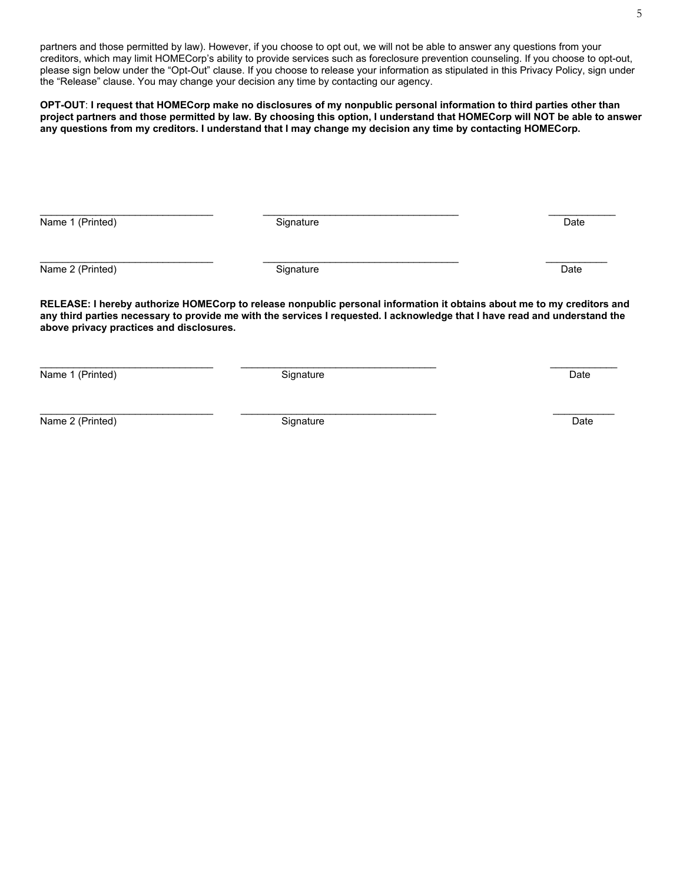partners and those permitted by law). However, if you choose to opt out, we will not be able to answer any questions from your creditors, which may limit HOMECorp's ability to provide services such as foreclosure prevention counseling. If you choose to opt-out, please sign below under the "Opt-Out" clause. If you choose to release your information as stipulated in this Privacy Policy, sign under the "Release" clause. You may change your decision any time by contacting our agency.

**OPT-OUT**: **I request that HOMECorp make no disclosures of my nonpublic personal information to third parties other than project partners and those permitted by law. By choosing this option, I understand that HOMECorp will NOT be able to answer any questions from my creditors. I understand that I may change my decision any time by contacting HOMECorp.**

Name 1 (Printed) **Signature** Date Date Date Date

Name 2 (Printed) **Date Canadian Contract Contract Contract Contract Contract Contract Contract Contract Contract Contract Contract Contract Contract Contract Contract Contract Contract Contract Contract Contract Contract** 

**RELEASE: I hereby authorize HOMECorp to release nonpublic personal information it obtains about me to my creditors and any third parties necessary to provide me with the services I requested. I acknowledge that I have read and understand the above privacy practices and disclosures.**

\_\_\_\_\_\_\_\_\_\_\_\_\_\_\_\_\_\_\_\_\_\_\_\_\_\_\_\_\_\_\_ \_\_\_\_\_\_\_\_\_\_\_\_\_\_\_\_\_\_\_\_\_\_\_\_\_\_\_\_\_\_\_\_\_\_\_ \_\_\_\_\_\_\_\_\_\_\_\_

\_\_\_\_\_\_\_\_\_\_\_\_\_\_\_\_\_\_\_\_\_\_\_\_\_\_\_\_\_\_\_ \_\_\_\_\_\_\_\_\_\_\_\_\_\_\_\_\_\_\_\_\_\_\_\_\_\_\_\_\_\_\_\_\_\_\_ \_\_\_\_\_\_\_\_\_\_\_

\_\_\_\_\_\_\_\_\_\_\_\_\_\_\_\_\_\_\_\_\_\_\_\_\_\_\_\_\_\_\_ \_\_\_\_\_\_\_\_\_\_\_\_\_\_\_\_\_\_\_\_\_\_\_\_\_\_\_\_\_\_\_\_\_\_\_ \_\_\_\_\_\_\_\_\_\_\_\_ Name 1 (Printed) **Date Contract Contract Contract Contract Contract Contract Contract Contract Contract Contract Contract Contract Contract Contract Contract Contract Contract Contract Contract Contract Contract Contract** 

\_\_\_\_\_\_\_\_\_\_\_\_\_\_\_\_\_\_\_\_\_\_\_\_\_\_\_\_\_\_\_ \_\_\_\_\_\_\_\_\_\_\_\_\_\_\_\_\_\_\_\_\_\_\_\_\_\_\_\_\_\_\_\_\_\_\_ \_\_\_\_\_\_\_\_\_\_\_

Name 2 (Printed) **Signature** Signature **Date** Date **Date** Date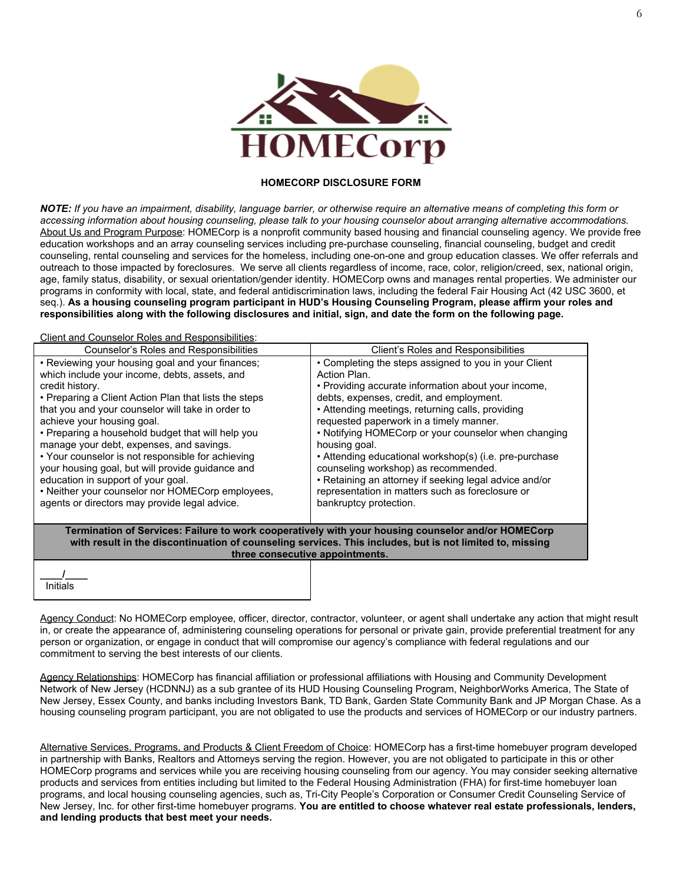

#### **HOMECORP DISCLOSURE FORM**

*NOTE: If you have an impairment, disability, language barrier, or otherwise require an alternative means of completing this form or accessing information about housing counseling, please talk to your housing counselor about arranging alternative accommodations.* About Us and Program Purpose: HOMECorp is a nonprofit community based housing and financial counseling agency. We provide free education workshops and an array counseling services including pre-purchase counseling, financial counseling, budget and credit counseling, rental counseling and services for the homeless, including one-on-one and group education classes. We offer referrals and outreach to those impacted by foreclosures. We serve all clients regardless of income, race, color, religion/creed, sex, national origin, age, family status, disability, or sexual orientation/gender identity. HOMECorp owns and manages rental properties. We administer our programs in conformity with local, state, and federal antidiscrimination laws, including the federal Fair Housing Act (42 USC 3600, et seq.). **As a housing counseling program participant in HUD's Housing Counseling Program, please affirm your roles and responsibilities along with the following disclosures and initial, sign, and date the form on the following page.**

Client and Counselor Roles and Responsibilities:

| Counselor's Roles and Responsibilities                                                                                                                                                                                                                                                                                                                                                                                                                                                                                                                                                                                | Client's Roles and Responsibilities                                                                                                                                                                                                                                                                                                                                                                                                                                                                                                                                                        |  |
|-----------------------------------------------------------------------------------------------------------------------------------------------------------------------------------------------------------------------------------------------------------------------------------------------------------------------------------------------------------------------------------------------------------------------------------------------------------------------------------------------------------------------------------------------------------------------------------------------------------------------|--------------------------------------------------------------------------------------------------------------------------------------------------------------------------------------------------------------------------------------------------------------------------------------------------------------------------------------------------------------------------------------------------------------------------------------------------------------------------------------------------------------------------------------------------------------------------------------------|--|
| • Reviewing your housing goal and your finances;<br>which include your income, debts, assets, and<br>credit history.<br>• Preparing a Client Action Plan that lists the steps<br>that you and your counselor will take in order to<br>achieve your housing goal.<br>• Preparing a household budget that will help you<br>manage your debt, expenses, and savings.<br>• Your counselor is not responsible for achieving<br>your housing goal, but will provide quidance and<br>education in support of your goal.<br>• Neither your counselor nor HOMECorp employees,<br>agents or directors may provide legal advice. | • Completing the steps assigned to you in your Client<br>Action Plan.<br>. Providing accurate information about your income,<br>debts, expenses, credit, and employment.<br>• Attending meetings, returning calls, providing<br>requested paperwork in a timely manner.<br>• Notifying HOMECorp or your counselor when changing<br>housing goal.<br>• Attending educational workshop(s) (i.e. pre-purchase<br>counseling workshop) as recommended.<br>• Retaining an attorney if seeking legal advice and/or<br>representation in matters such as foreclosure or<br>bankruptcy protection. |  |
| Termination of Services: Failure to work cooperatively with your housing counselor and/or HOMECorp<br>with result in the discontinuation of counseling services. This includes, but is not limited to, missing<br>three consecutive appointments.                                                                                                                                                                                                                                                                                                                                                                     |                                                                                                                                                                                                                                                                                                                                                                                                                                                                                                                                                                                            |  |
| Initials                                                                                                                                                                                                                                                                                                                                                                                                                                                                                                                                                                                                              |                                                                                                                                                                                                                                                                                                                                                                                                                                                                                                                                                                                            |  |

Agency Conduct: No HOMECorp employee, officer, director, contractor, volunteer, or agent shall undertake any action that might result in, or create the appearance of, administering counseling operations for personal or private gain, provide preferential treatment for any person or organization, or engage in conduct that will compromise our agency's compliance with federal regulations and our commitment to serving the best interests of our clients.

Agency Relationships: HOMECorp has financial affiliation or professional affiliations with Housing and Community Development Network of New Jersey (HCDNNJ) as a sub grantee of its HUD Housing Counseling Program, NeighborWorks America, The State of New Jersey, Essex County, and banks including Investors Bank, TD Bank, Garden State Community Bank and JP Morgan Chase. As a housing counseling program participant, you are not obligated to use the products and services of HOMECorp or our industry partners.

Alternative Services, Programs, and Products & Client Freedom of Choice: HOMECorp has a first-time homebuyer program developed in partnership with Banks, Realtors and Attorneys serving the region. However, you are not obligated to participate in this or other HOMECorp programs and services while you are receiving housing counseling from our agency. You may consider seeking alternative products and services from entities including but limited to the Federal Housing Administration (FHA) for first-time homebuyer loan programs, and local housing counseling agencies, such as, Tri-City People's Corporation or Consumer Credit Counseling Service of New Jersey, Inc. for other first-time homebuyer programs. **You are entitled to choose whatever real estate professionals, lenders, and lending products that best meet your needs.**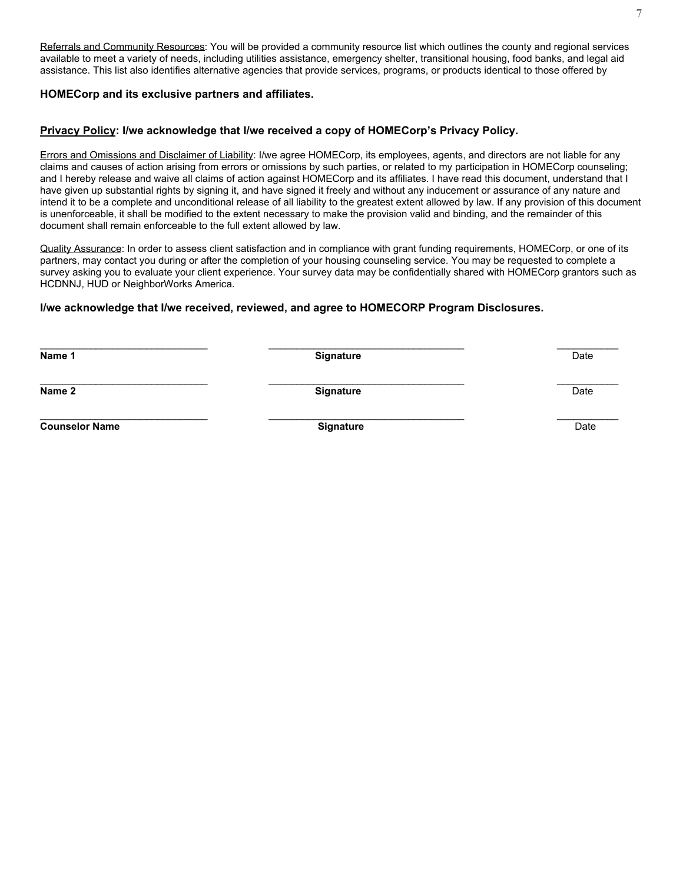Referrals and Community Resources: You will be provided a community resource list which outlines the county and regional services available to meet a variety of needs, including utilities assistance, emergency shelter, transitional housing, food banks, and legal aid assistance. This list also identifies alternative agencies that provide services, programs, or products identical to those offered by

#### **HOMECorp and its exclusive partners and affiliates.**

#### **Privacy Policy: I/we acknowledge that I/we received a copy of HOMECorp's Privacy Policy.**

Errors and Omissions and Disclaimer of Liability: I/we agree HOMECorp, its employees, agents, and directors are not liable for any claims and causes of action arising from errors or omissions by such parties, or related to my participation in HOMECorp counseling; and I hereby release and waive all claims of action against HOMECorp and its affiliates. I have read this document, understand that I have given up substantial rights by signing it, and have signed it freely and without any inducement or assurance of any nature and intend it to be a complete and unconditional release of all liability to the greatest extent allowed by law. If any provision of this document is unenforceable, it shall be modified to the extent necessary to make the provision valid and binding, and the remainder of this document shall remain enforceable to the full extent allowed by law.

Quality Assurance: In order to assess client satisfaction and in compliance with grant funding requirements, HOMECorp, or one of its partners, may contact you during or after the completion of your housing counseling service. You may be requested to complete a survey asking you to evaluate your client experience. Your survey data may be confidentially shared with HOMECorp grantors such as HCDNNJ, HUD or NeighborWorks America.

#### **I/we acknowledge that I/we received, reviewed, and agree to HOMECORP Program Disclosures.**

\_\_\_\_\_\_\_\_\_\_\_\_\_\_\_\_\_\_\_\_\_\_\_\_\_\_\_\_\_\_ \_\_\_\_\_\_\_\_\_\_\_\_\_\_\_\_\_\_\_\_\_\_\_\_\_\_\_\_\_\_\_\_\_\_\_ \_\_\_\_\_\_\_\_\_\_\_ **Name 1** Date Date Date of the Structure Signature Construction of the Date Date Date Date Date \_\_\_\_\_\_\_\_\_\_\_\_\_\_\_\_\_\_\_\_\_\_\_\_\_\_\_\_\_\_ \_\_\_\_\_\_\_\_\_\_\_\_\_\_\_\_\_\_\_\_\_\_\_\_\_\_\_\_\_\_\_\_\_\_\_ \_\_\_\_\_\_\_\_\_\_\_ **Name 2 Signature** Date \_\_\_\_\_\_\_\_\_\_\_\_\_\_\_\_\_\_\_\_\_\_\_\_\_\_\_\_\_\_ \_\_\_\_\_\_\_\_\_\_\_\_\_\_\_\_\_\_\_\_\_\_\_\_\_\_\_\_\_\_\_\_\_\_\_ \_\_\_\_\_\_\_\_\_\_\_ **Counselor Name** Date **Signature Signature Signature Date Date Date** Date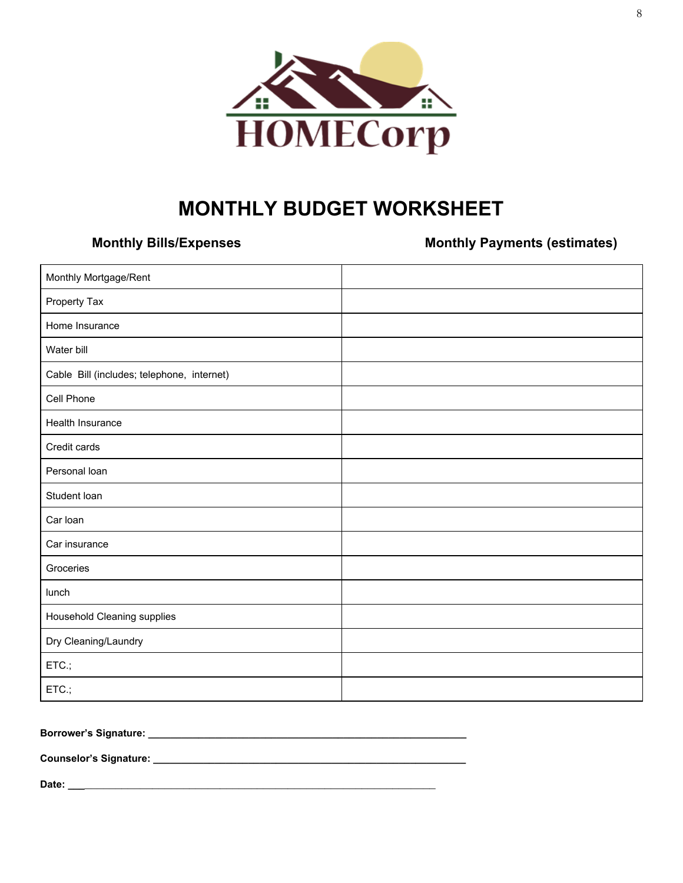

## **MONTHLY BUDGET WORKSHEET**

**Monthly Bills/Expenses Monthly Payments (estimates)**

| Monthly Mortgage/Rent                      |  |
|--------------------------------------------|--|
| Property Tax                               |  |
| Home Insurance                             |  |
| Water bill                                 |  |
| Cable Bill (includes; telephone, internet) |  |
| Cell Phone                                 |  |
| Health Insurance                           |  |
| Credit cards                               |  |
| Personal loan                              |  |
| Student loan                               |  |
| Car Ioan                                   |  |
| Car insurance                              |  |
| Groceries                                  |  |
| lunch                                      |  |
| Household Cleaning supplies                |  |
| Dry Cleaning/Laundry                       |  |
| ETC.;                                      |  |
| ETC.;                                      |  |

### **Borrower's Signature: \_\_\_\_\_\_\_\_\_\_\_\_\_\_\_\_\_\_\_\_\_\_\_\_\_\_\_\_\_\_\_\_\_\_\_\_\_\_\_\_\_\_\_\_\_\_\_\_\_\_\_\_\_\_\_\_\_**

**Counselor's Signature: \_\_\_\_\_\_\_\_\_\_\_\_\_\_\_\_\_\_\_\_\_\_\_\_\_\_\_\_\_\_\_\_\_\_\_\_\_\_\_\_\_\_\_\_\_\_\_\_\_\_\_\_\_\_\_\_**

**Date: \_\_\_**\_\_\_\_\_\_\_\_\_\_\_\_\_\_\_\_\_\_\_\_\_\_\_\_\_\_\_\_\_\_\_\_\_\_\_\_\_\_\_\_\_\_\_\_\_\_\_\_\_\_\_\_\_\_\_\_\_